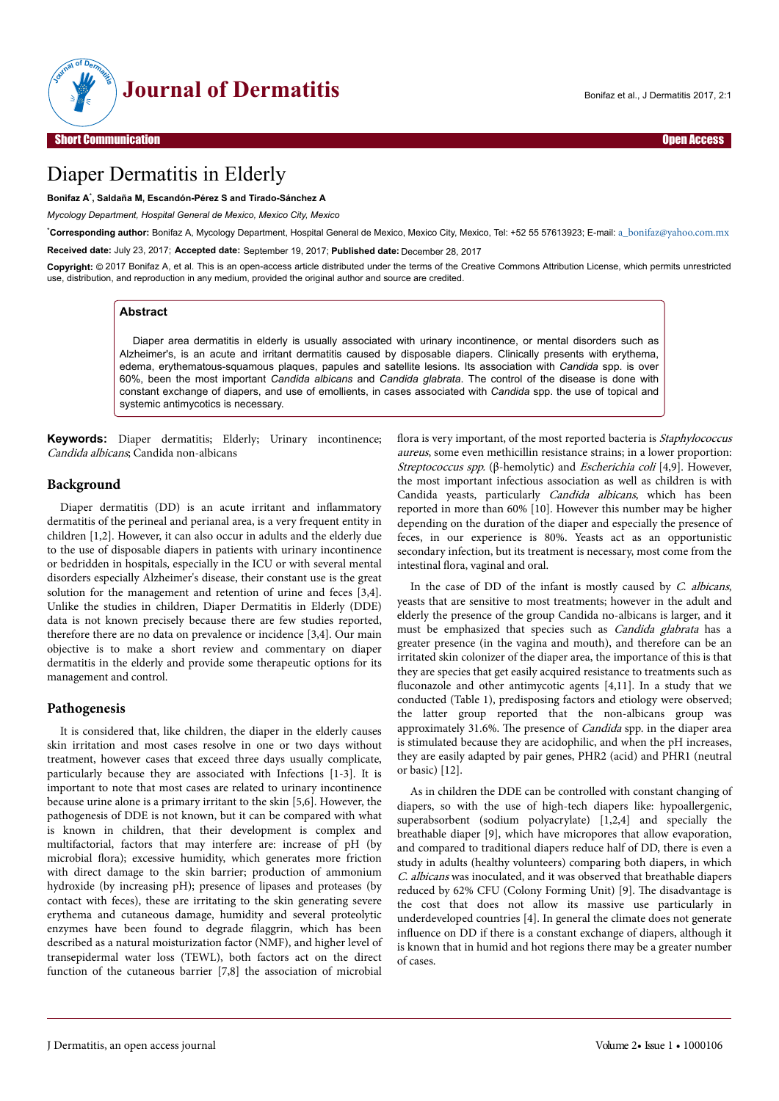

# Diaper Dermatitis in Elderly

**Bonifaz A**\* **, Saldaña M, Escandón-Pérez S and Tirado-Sánchez A**

*Mycology Department, Hospital General de Mexico, Mexico City, Mexico*

\***Corresponding author:** Bonifaz A, Mycology Department, Hospital General de Mexico, Mexico City, Mexico, Tel: +52 55 57613923; E-mail: [a\\_bonifaz@yahoo.com.mx](mailto:a_bonifaz@yahoo.com.mx)

**Received date:** July 23, 2017; **Accepted date:** September 19, 2017; **Published date:** December 28, 2017

**Copyright:** © 2017 Bonifaz A, et al. This is an open-access article distributed under the terms of the Creative Commons Attribution License, which permits unrestricted use, distribution, and reproduction in any medium, provided the original author and source are credited.

#### **Abstract**

Diaper area dermatitis in elderly is usually associated with urinary incontinence, or mental disorders such as Alzheimer's, is an acute and irritant dermatitis caused by disposable diapers. Clinically presents with erythema, edema, erythematous-squamous plaques, papules and satellite lesions. Its association with *Candida* spp. is over 60%, been the most important *Candida albicans* and *Candida glabrata*. The control of the disease is done with constant exchange of diapers, and use of emollients, in cases associated with *Candida* spp. the use of topical and systemic antimycotics is necessary.

**Keywords:** Diaper dermatitis; Elderly; Urinary incontinence; Candida albicans; Candida non-albicans

### **Background**

Diaper dermatitis (DD) is an acute irritant and inflammatory dermatitis of the perineal and perianal area, is a very frequent entity in children [1,2]. However, it can also occur in adults and the elderly due to the use of disposable diapers in patients with urinary incontinence or bedridden in hospitals, especially in the ICU or with several mental disorders especially Alzheimer's disease, their constant use is the great solution for the management and retention of urine and feces [3,4]. Unlike the studies in children, Diaper Dermatitis in Elderly (DDE) data is not known precisely because there are few studies reported, therefore there are no data on prevalence or incidence [3,4]. Our main objective is to make a short review and commentary on diaper dermatitis in the elderly and provide some therapeutic options for its management and control.

#### **Pathogenesis**

It is considered that, like children, the diaper in the elderly causes skin irritation and most cases resolve in one or two days without treatment, however cases that exceed three days usually complicate, particularly because they are associated with Infections [1-3]. It is important to note that most cases are related to urinary incontinence because urine alone is a primary irritant to the skin [5,6]. However, the pathogenesis of DDE is not known, but it can be compared with what is known in children, that their development is complex and multifactorial, factors that may interfere are: increase of pH (by microbial flora); excessive humidity, which generates more friction with direct damage to the skin barrier; production of ammonium hydroxide (by increasing pH); presence of lipases and proteases (by contact with feces), these are irritating to the skin generating severe erythema and cutaneous damage, humidity and several proteolytic enzymes have been found to degrade filaggrin, which has been described as a natural moisturization factor (NMF), and higher level of transepidermal water loss (TEWL), both factors act on the direct function of the cutaneous barrier [7,8] the association of microbial

flora is very important, of the most reported bacteria is Staphylococcus aureus, some even methicillin resistance strains; in a lower proportion: Streptococcus spp. (β-hemolytic) and Escherichia coli [4,9]. However, the most important infectious association as well as children is with Candida yeasts, particularly Candida albicans, which has been reported in more than 60% [10]. However this number may be higher depending on the duration of the diaper and especially the presence of feces, in our experience is 80%. Yeasts act as an opportunistic secondary infection, but its treatment is necessary, most come from the intestinal flora, vaginal and oral.

In the case of DD of the infant is mostly caused by  $C$ . albicans, yeasts that are sensitive to most treatments; however in the adult and elderly the presence of the group Candida no-albicans is larger, and it must be emphasized that species such as Candida glabrata has a greater presence (in the vagina and mouth), and therefore can be an irritated skin colonizer of the diaper area, the importance of this is that they are species that get easily acquired resistance to treatments such as fluconazole and other antimycotic agents  $[4,11]$ . In a study that we conducted (Table 1), predisposing factors and etiology were observed; the latter group reported that the non-albicans group was approximately 31.6%. The presence of *Candida* spp. in the diaper area is stimulated because they are acidophilic, and when the pH increases, they are easily adapted by pair genes, PHR2 (acid) and PHR1 (neutral or basic) [12].

As in children the DDE can be controlled with constant changing of diapers, so with the use of high-tech diapers like: hypoallergenic, superabsorbent (sodium polyacrylate) [1,2,4] and specially the breathable diaper [9], which have micropores that allow evaporation, and compared to traditional diapers reduce half of DD, there is even a study in adults (healthy volunteers) comparing both diapers, in which C. albicans was inoculated, and it was observed that breathable diapers reduced by 62% CFU (Colony Forming Unit) [9]. Нe disadvantage is the cost that does not allow its massive use particularly in underdeveloped countries [4]. In general the climate does not generate influence on DD if there is a constant exchange of diapers, although it is known that in humid and hot regions there may be a greater number of cases.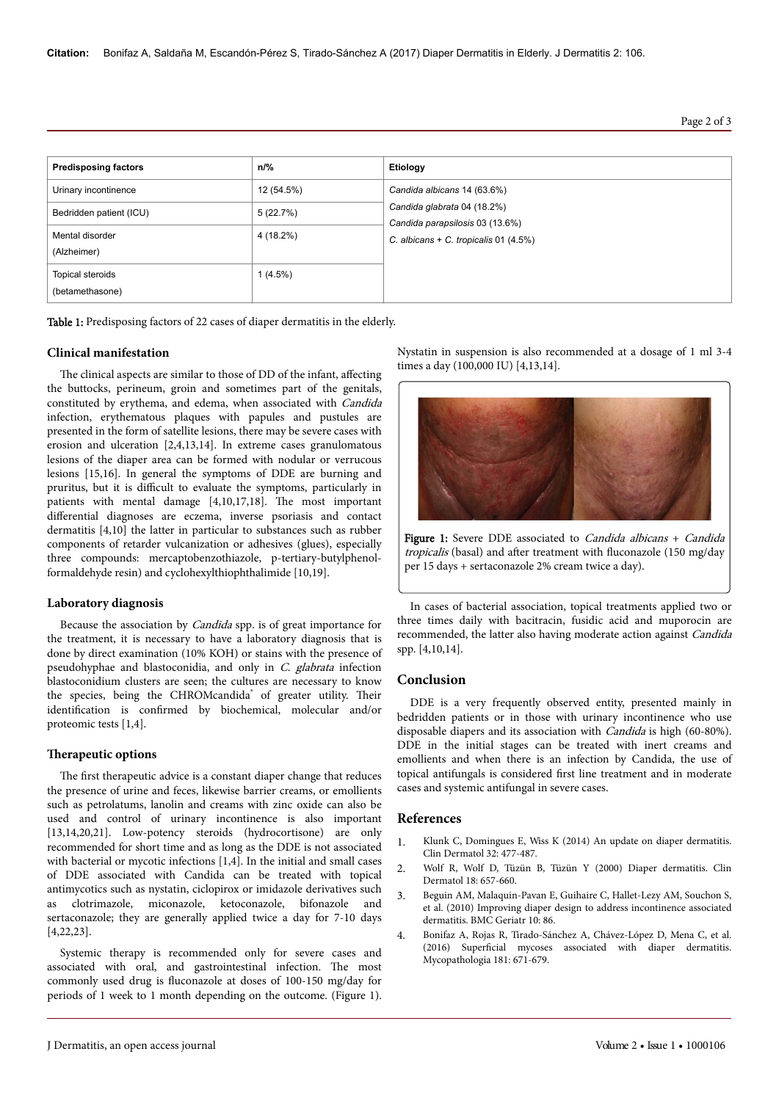**Citation:** Bonifaz A, Saldaña M, Escandón-Pérez S, Tirado-Sánchez A (2017) Diaper Dermatitis in Elderly. J Dermatitis 2: 106.

Page 2 of 3

| <b>Predisposing factors</b>         | $n\frac{9}{6}$ | Etiology                                                                                                  |
|-------------------------------------|----------------|-----------------------------------------------------------------------------------------------------------|
| Urinary incontinence                | 12 (54.5%)     | Candida albicans 14 (63.6%)                                                                               |
| Bedridden patient (ICU)             | 5(22.7%)       | Candida glabrata 04 (18.2%)<br>Candida parapsilosis 03 (13.6%)<br>C. albicans + C. tropicalis $01$ (4.5%) |
| Mental disorder<br>(Alzheimer)      | 4 (18.2%)      |                                                                                                           |
| Topical steroids<br>(betamethasone) | $1(4.5\%)$     |                                                                                                           |

Table 1: Predisposing factors of 22 cases of diaper dermatitis in the elderly.

#### **Clinical manifestation**

The clinical aspects are similar to those of DD of the infant, affecting the buttocks, perineum, groin and sometimes part of the genitals, constituted by erythema, and edema, when associated with Candida infection, erythematous plaques with papules and pustules are presented in the form of satellite lesions, there may be severe cases with erosion and ulceration [2,4,13,14]. In extreme cases granulomatous lesions of the diaper area can be formed with nodular or verrucous lesions [15,16]. In general the symptoms of DDE are burning and pruritus, but it is difficult to evaluate the symptoms, particularly in patients with mental damage [4,10,17,18]. Нe most important differential diagnoses are eczema, inverse psoriasis and contact dermatitis [4,10] the latter in particular to substances such as rubber components of retarder vulcanization or adhesives (glues), especially three compounds: mercaptobenzothiazole, p-tertiary-butylphenolformaldehyde resin) and cyclohexylthiophthalimide [10,19].

#### **Laboratory diagnosis**

Because the association by Candida spp. is of great importance for the treatment, it is necessary to have a laboratory diagnosis that is done by direct examination (10% KOH) or stains with the presence of pseudohyphae and blastoconidia, and only in C. glabrata infection blastoconidium clusters are seen; the cultures are necessary to know the species, being the CHROMcandida<sup>®</sup> of greater utility. Their identification is confirmed by biochemical, molecular and/or proteomic tests [1,4].

#### **Therapeutic options**

The first therapeutic advice is a constant diaper change that reduces the presence of urine and feces, likewise barrier creams, or emollients such as petrolatums, lanolin and creams with zinc oxide can also be used and control of urinary incontinence is also important [13,14,20,21]. Low-potency steroids (hydrocortisone) are only recommended for short time and as long as the DDE is not associated with bacterial or mycotic infections [1,4]. In the initial and small cases of DDE associated with Candida can be treated with topical antimycotics such as nystatin, ciclopirox or imidazole derivatives such as clotrimazole, miconazole, ketoconazole, bifonazole and sertaconazole; they are generally applied twice a day for 7-10 days [4,22,23].

Systemic therapy is recommended only for severe cases and associated with oral, and gastrointestinal infection. Нe most commonly used drug is fluconazole at doses of 100-150 mg/day for periods of 1 week to 1 month depending on the outcome. (Figure 1). Nystatin in suspension is also recommended at a dosage of 1 ml 3-4 times a day (100,000 IU) [4,13,14].



Figure 1: Severe DDE associated to *Candida albicans* + *Candida* tropicalis (basal) and after treatment with fluconazole (150 mg/day per 15 days + sertaconazole 2% cream twice a day).

In cases of bacterial association, topical treatments applied two or three times daily with bacitracin, fusidic acid and muporocin are recommended, the latter also having moderate action against Candida spp. [4,10,14].

## **Conclusion**

DDE is a very frequently observed entity, presented mainly in bedridden patients or in those with urinary incontinence who use disposable diapers and its association with Candida is high (60-80%). DDE in the initial stages can be treated with inert creams and emollients and when there is an infection by Candida, the use of topical antifungals is considered first line treatment and in moderate cases and systemic antifungal in severe cases.

#### **References**

- 1. [Klunk C, Domingues E, Wiss K \(2014\) An update on diaper dermatitis.](https://dx.doi.org/10.1016/j.clindermatol.2014.02.003) [Clin Dermatol 32: 477-487.](https://dx.doi.org/10.1016/j.clindermatol.2014.02.003)
- 2. Wolf R, Wolf D, Tüzün B, Tüzün Y (2000) Diaper dermatitis. Clin Dermatol 18: 657-660.
- 3. [Beguin AM, Malaquin-Pavan E, Guihaire C, Hallet-Lezy AM, Souchon S,](https://dx.doi.org/10.1186/1471-2318-10-86) [et al. \(2010\) Improving diaper design to address incontinence associated](https://dx.doi.org/10.1186/1471-2318-10-86) [dermatitis. BMC Geriatr 10: 86.](https://dx.doi.org/10.1186/1471-2318-10-86)
- 4. [Bonifaz A, Rojas R, Tirado-Sánchez A, Chávez-López D, Mena C, et al.](https://dx.doi.org/10.1007/s11046-016-0020-9) (2016) Superficial [mycoses associated with diaper dermatitis.](https://dx.doi.org/10.1007/s11046-016-0020-9) [Mycopathologia 181: 671-679.](https://dx.doi.org/10.1007/s11046-016-0020-9)